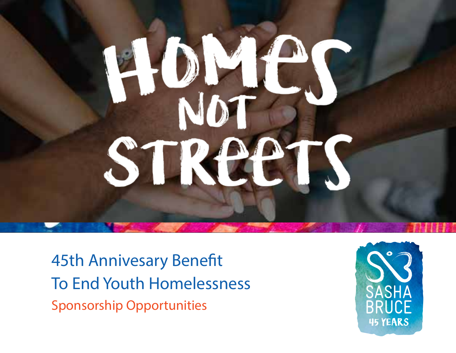# ST

45th Annivesary Benefit To End Youth Homelessness Sponsorship Opportunities

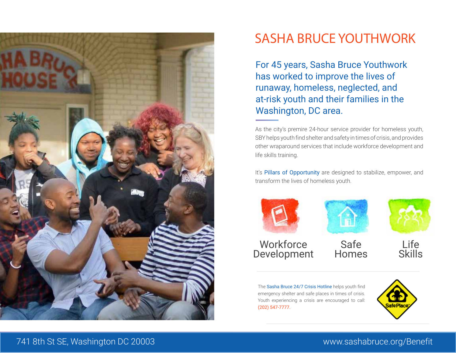

### SASHA BRUCE YOUTHWORK

For 45 years, Sasha Bruce Youthwork has worked to improve the lives of runaway, homeless, neglected, and at-risk youth and their families in the Washington, DC area.

As the city's premire 24-hour service provider for homeless youth, SBY helps youth find shelter and safety in times of crisis, and provides other wraparound services that include workforce development and life skills training.

It's Pillars of Opportunity are designed to stabilize, empower, and transform the lives of homeless youth.



The Sasha Bruce 24/7 Crisis Hotline helps youth find emergency shelter and safe places in times of crisis. Youth experiencing a crisis are encouraged to call: (202) 547-7777.

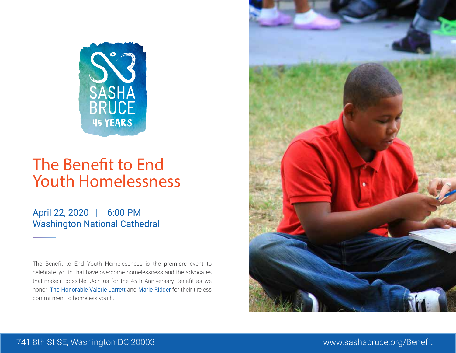

## The Benefit to End Youth Homelessness

April 22, 2020 | 6:00 PM Washington National Cathedral

The Benefit to End Youth Homelessness is the premiere event to celebrate youth that have overcome homelessness and the advocates that make it possible. Join us for the 45th Anniversary Benefit as we honor The Honorable Valerie Jarrett and Marie Ridder for their tireless commitment to homeless youth.

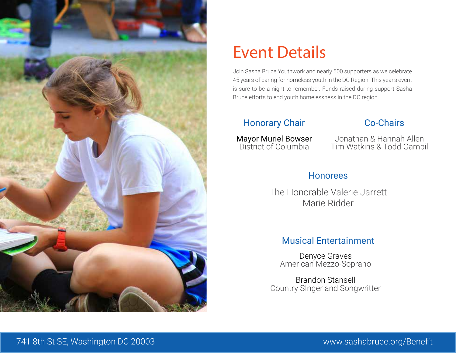

## Event Details

Join Sasha Bruce Youthwork and nearly 500 supporters as we celebrate 45 years of caring for homeless youth in the DC Region. This year's event is sure to be a night to remember. Funds raised during support Sasha Bruce efforts to end youth homelessness in the DC region.

#### Honorary Chair

Mayor Muriel Bowser District of Columbia

#### Co-Chairs

Jonathan & Hannah Allen Tim Watkins & Todd Gambil

#### Honorees

The Honorable Valerie Jarrett Marie Ridder

#### Musical Entertainment

Denyce Graves American Mezzo-Soprano

Brandon Stansell Country SInger and Songwritter

#### Jon and Hannah Allen Innovation Lounge Partership Opportunities www.SashaBruce.org - page 5 741 8th St SE, Washington DC 20003 www.sashabruce.org/Benefit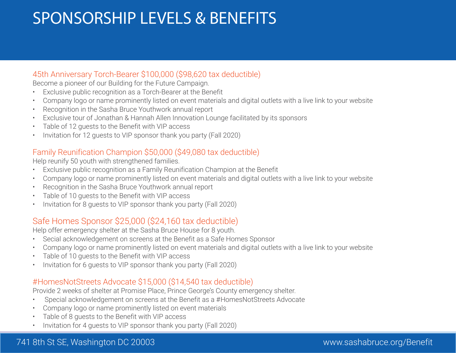# SPONSORSHIP LEVELS & BENEFITS

#### 45th Anniversary Torch-Bearer \$100,000 (\$98,620 tax deductible)

Become a pioneer of our Building for the Future Campaign.

- Exclusive public recognition as a Torch-Bearer at the Benefit
- Company logo or name prominently listed on event materials and digital outlets with a live link to your website
- Recognition in the Sasha Bruce Youthwork annual report
- Exclusive tour of Jonathan & Hannah Allen Innovation Lounge facilitated by its sponsors
- Table of 12 guests to the Benefit with VIP access
- Invitation for 12 guests to VIP sponsor thank you party (Fall 2020)

#### Family Reunification Champion \$50,000 (\$49,080 tax deductible)

Help reunify 50 youth with strengthened families.

- Exclusive public recognition as a Family Reunification Champion at the Benefit
- Company logo or name prominently listed on event materials and digital outlets with a live link to your website
- Recognition in the Sasha Bruce Youthwork annual report
- Table of 10 guests to the Benefit with VIP access
- Invitation for 8 guests to VIP sponsor thank you party (Fall 2020)

#### Safe Homes Sponsor \$25,000 (\$24,160 tax deductible)

Help offer emergency shelter at the Sasha Bruce House for 8 youth.

- Secial acknowledgement on screens at the Benefit as a Safe Homes Sponsor
- Company logo or name prominently listed on event materials and digital outlets with a live link to your website
- Table of 10 guests to the Benefit with VIP access
- Invitation for 6 guests to VIP sponsor thank you party (Fall 2020)

#### #HomesNotStreets Advocate \$15,000 (\$14,540 tax deductible)

Provide 2 weeks of shelter at Promise Place, Prince George's County emergency shelter.

- Special acknowledgement on screens at the Benefit as a #HomesNotStreets Advocate
- Company logo or name prominently listed on event materials
- Table of 8 quests to the Benefit with VIP access
- Invitation for 4 guests to VIP sponsor thank you party (Fall 2020)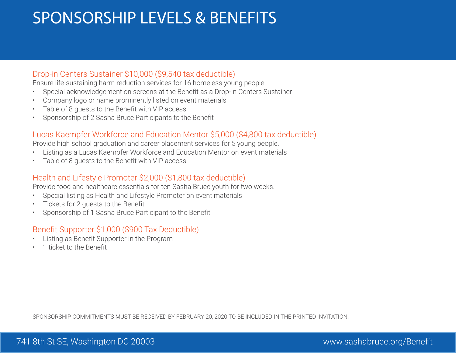# SPONSORSHIP LEVELS & BENEFITS

#### Drop-in Centers Sustainer \$10,000 (\$9,540 tax deductible)

Ensure life-sustaining harm reduction services for 16 homeless young people.

- Special acknowledgement on screens at the Benefit as a Drop-In Centers Sustainer
- Company logo or name prominently listed on event materials
- Table of 8 guests to the Benefit with VIP access
- Sponsorship of 2 Sasha Bruce Participants to the Benefit

#### Lucas Kaempfer Workforce and Education Mentor \$5,000 (\$4,800 tax deductible)

Provide high school graduation and career placement services for 5 young people.

- Listing as a Lucas Kaempfer Workforce and Education Mentor on event materials
- Table of 8 guests to the Benefit with VIP access

#### Health and Lifestyle Promoter \$2,000 (\$1,800 tax deductible)

Provide food and healthcare essentials for ten Sasha Bruce youth for two weeks.

- Special listing as Health and Lifestyle Promoter on event materials
- Tickets for 2 guests to the Benefit
- Sponsorship of 1 Sasha Bruce Participant to the Benefit

#### Benefit Supporter \$1,000 (\$900 Tax Deductible)

- Listing as Benefit Supporter in the Program
- 1 ticket to the Benefit

SPONSORSHIP COMMITMENTS MUST BE RECEIVED BY FEBRUARY 20, 2020 TO BE INCLUDED IN THE PRINTED INVITATION.